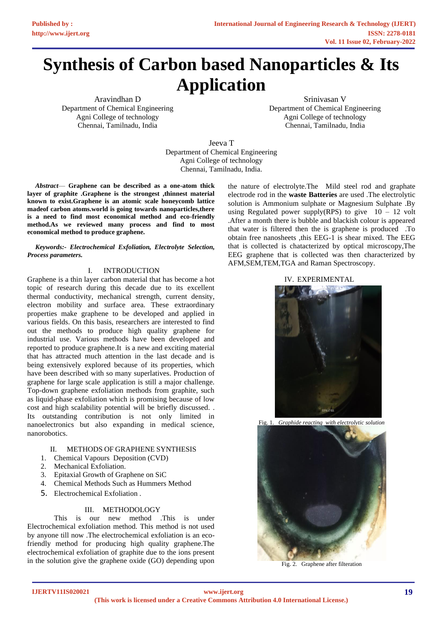# **Synthesis of Carbon based Nanoparticles & Its Application**

Aravindhan D Department of Chemical Engineering Agni College of technology Chennai, Tamilnadu, India

Srinivasan V Department of Chemical Engineering Agni College of technology Chennai, Tamilnadu, India

Jeeva T Department of Chemical Engineering Agni College of technology Chennai, Tamilnadu, India.

*Abstract*— **Graphene can be described as a one-atom thick layer of graphite .Graphene is the strongest ,thinnest material known to exist.Graphene is an atomic scale honeycomb lattice madeof carbon atoms.world is going towards nanoparticles,there is a need to find most economical method and eco-friendly method.As we reviewed many process and find to most economical method to produce graphene.**

*Keywords:- Electrochemical Exfoliation, Electrolyte Selection, Process parameters.*

#### I. INTRODUCTION

Graphene is a thin layer carbon material that has become a hot topic of research during this decade due to its excellent thermal conductivity, mechanical strength, current density, electron mobility and surface area. These extraordinary properties make graphene to be developed and applied in various fields. On this basis, researchers are interested to find out the methods to produce high quality graphene for industrial use. Various methods have been developed and reported to produce graphene.It is a new and exciting material that has attracted much attention in the last decade and is being extensively explored because of its properties, which have been described with so many superlatives. Production of graphene for large scale application is still a major challenge. Top-down graphene exfoliation methods from graphite, such as liquid-phase exfoliation which is promising because of low cost and high scalability potential will be briefly discussed. . Its outstanding contribution is not only limited in nanoelectronics but also expanding in medical science, nanorobotics.

## II. METHODS OF GRAPHENE SYNTHESIS

- 1. Chemical Vapours Deposition (CVD)
- 2. Mechanical Exfoliation.
- 3. Epitaxial Growth of Graphene on SiC
- 4. Chemical Methods Such as Hummers Method
- 5. Electrochemical Exfoliation .

## III. METHODOLOGY

This is our new method .This is under Electrochemical exfoliation method. This method is not used by anyone till now .The electrochemical exfoliation is an ecofriendly method for producing high quality graphene.The electrochemical exfoliation of graphite due to the ions present in the solution give the graphene oxide (GO) depending upon

the nature of electrolyte.The Mild steel rod and graphate electrode rod in the **waste Batteries** are used .The electrolytic solution is Ammonium sulphate or Magnesium Sulphate .By using Regulated power supply(RPS) to give  $10 - 12$  volt .After a month there is bubble and blackish colour is appeared that water is filtered then the is graphene is produced .To obtain free nanosheets ,this EEG-1 is shear mixed. The EEG that is collected is chatacterized by optical microscopy,The EEG graphene that is collected was then characterized by AFM,SEM,TEM,TGA and Raman Spectroscopy.

IV. EXPERIMENTAL



Fig. 1. *Graphide reacting with electrolytic solution*



Fig. 2. Graphene after filteration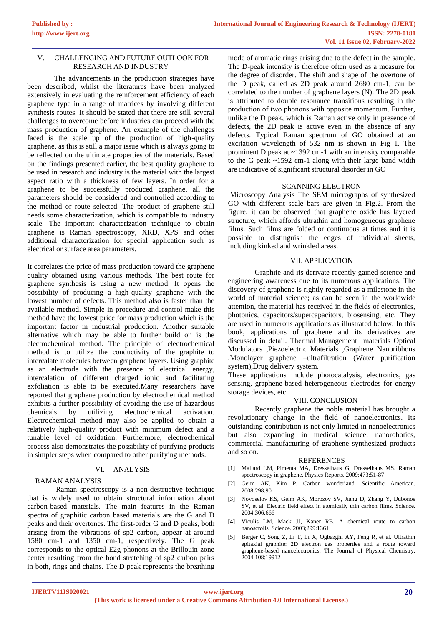## V. CHALLENGING AND FUTURE OUTLOOK FOR RESEARCH AND INDUSTRY

The advancements in the production strategies have been described, whilst the literatures have been analyzed extensively in evaluating the reinforcement efficiency of each graphene type in a range of matrices by involving different synthesis routes. It should be stated that there are still several challenges to overcome before industries can proceed with the mass production of graphene. An example of the challenges faced is the scale up of the production of high-quality graphene, as this is still a major issue which is always going to be reflected on the ultimate properties of the materials. Based on the findings presented earlier, the best quality graphene to be used in research and industry is the material with the largest aspect ratio with a thickness of few layers. In order for a graphene to be successfully produced graphene, all the parameters should be considered and controlled according to the method or route selected. The product of graphene still needs some characterization, which is compatible to industry scale. The important characterization technique to obtain graphene is Raman spectroscopy, XRD, XPS and other additional characterization for special application such as electrical or surface area parameters.

It correlates the price of mass production toward the graphene quality obtained using various methods. The best route for graphene synthesis is using a new method. It opens the possibility of producing a high-quality graphene with the lowest number of defects. This method also is faster than the available method. Simple in procedure and control make this method have the lowest price for mass production which is the important factor in industrial production. Another suitable alternative which may be able to further build on is the electrochemical method. The principle of electrochemical method is to utilize the conductivity of the graphite to intercalate molecules between graphene layers. Using graphite as an electrode with the presence of electrical energy, intercalation of different charged ionic and facilitating exfoliation is able to be executed.Many researchers have reported that graphene production by electrochemical method exhibits a further possibility of avoiding the use of hazardous chemicals by utilizing electrochemical activation. Electrochemical method may also be applied to obtain a relatively high-quality product with minimum defect and a tunable level of oxidation. Furthermore, electrochemical process also demonstrates the possibility of purifying products in simpler steps when compared to other purifying methods.

## VI. ANALYSIS

## RAMAN ANALYSIS

Raman spectroscopy is a non-destructive technique that is widely used to obtain structural information about carbon-based materials. The main features in the Raman spectra of graphitic carbon based materials are the G and D peaks and their overtones. The first-order G and D peaks, both arising from the vibrations of sp2 carbon, appear at around 1580 cm-1 and 1350 cm-1, respectively. The G peak corresponds to the optical E2g phonons at the Brillouin zone center resulting from the bond stretching of sp2 carbon pairs in both, rings and chains. The D peak represents the breathing

mode of aromatic rings arising due to the defect in the sample. The D-peak intensity is therefore often used as a measure for the degree of disorder. The shift and shape of the overtone of the D peak, called as 2D peak around 2680 cm-1, can be correlated to the number of graphene layers (N). The 2D peak is attributed to double resonance transitions resulting in the production of two phonons with opposite momentum. Further, unlike the D peak, which is Raman active only in presence of defects, the 2D peak is active even in the absence of any defects. Typical Raman spectrum of GO obtained at an excitation wavelength of 532 nm is shown in Fig 1. The prominent D peak at ~1392 cm-1 with an intensity comparable to the G peak ~1592 cm-1 along with their large band width are indicative of significant structural disorder in GO

#### SCANNING ELECTRON

Microscopy Analysis The SEM micrographs of synthesized GO with different scale bars are given in Fig.2. From the figure, it can be observed that graphene oxide has layered structure, which affords ultrathin and homogeneous graphene films. Such films are folded or continuous at times and it is possible to distinguish the edges of individual sheets, including kinked and wrinkled areas.

## VII. APPLICATION

Graphite and its derivate recently gained science and engineering awareness due to its numerous applications. The discovery of graphene is rightly regarded as a milestone in the world of material science; as can be seen in the worldwide attention, the material has received in the fields of electronics, photonics, capacitors/supercapacitors, biosensing, etc. They are used in numerous applications as illustrated below. In this book, applications of graphene and its derivatives are discussed in detail. Thermal Management materials Optical Modulators ,Piezoelectric Materials ,Graphene Nanoribbons ,Monolayer graphene –ultrafiltration (Water purification system),Drug delivery system.

These applications include photocatalysis, electronics, gas sensing, graphene-based heterogeneous electrodes for energy storage devices, etc.

#### VIII. CONCLUSION

Recently graphene the noble material has brought a revolutionary change in the field of nanoelectronics. Its outstanding contribution is not only limited in nanoelectronics but also expanding in medical science, nanorobotics, commercial manufacturing of graphene synthesized products and so on.

#### **REFERENCES**

- [1] Mallard LM, Pimenta MA, Dresselhaus G, Dresselhaus MS. Raman spectroscopy in graphene. Physics Reports. 2009;473:51-87
- [2] Geim AK, Kim P. Carbon wonderland. Scientific American. 2008;298:90
- [3] Novoselov KS, Geim AK, Morozov SV, Jiang D, Zhang Y, Dubonos SV, et al. Electric field effect in atomically thin carbon films. Science. 2004;306:666
- [4] Viculis LM, Mack JJ, Kaner RB. A chemical route to carbon nanoscrolls. Science. 2003;299:1361
- [5] Berger C, Song Z, Li T, Li X, Ogbazghi AY, Feng R, et al. Ultrathin epitaxial graphite: 2D electron gas properties and a route toward graphene-based nanoelectronics. The Journal of Physical Chemistry. 2004;108:19912